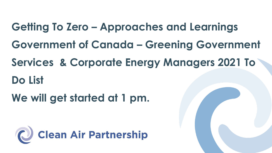**Getting To Zero – Approaches and Learnings Government of Canada – Greening Government Services & Corporate Energy Managers 2021 To Do List** 

**We will get started at 1 pm.** 

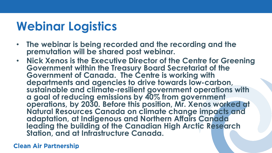## **Webinar Logistics**

- **The webinar is being recorded and the recording and the premutation will be shared post webinar.**
- **Nick Xenos is the Executive Director of the Centre for Greening Government within the Treasury Board Secretariat of the Government of Canada. The Centre is working with departments and agencies to drive towards low-carbon, sustainable and climate-resilient government operations with a goal of reducing emissions by 40% from government operations, by 2030. Before this position, Mr. Xenos worked at Natural Resources Canada on climate change impacts and adaptation, at Indigenous and Northern Affairs Canada leading the building of the Canadian High Arctic Research Station, and at Infrastructure Canada.**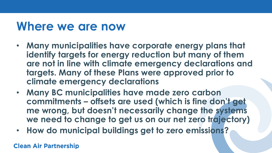#### **Where we are now**

- **Many municipalities have corporate energy plans that identify targets for energy reduction but many of them are not in line with climate emergency declarations and targets. Many of these Plans were approved prior to climate emergency declarations**
- **Many BC municipalities have made zero carbon commitments – offsets are used (which is fine don't get me wrong, but doesn't necessarily change the systems we need to change to get us on our net zero trajectory)**
- **How do municipal buildings get to zero emissions?**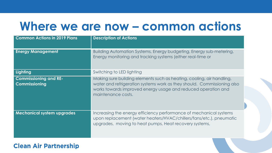#### **Where we are now – common actions**

| <b>Common Actions in 2019 Plans</b>           | <b>Description of Actions</b>                                                                                                                                                                                                           |
|-----------------------------------------------|-----------------------------------------------------------------------------------------------------------------------------------------------------------------------------------------------------------------------------------------|
| <b>Energy Management</b>                      | Building Automation Systems, Energy budgeting, Energy sub-metering,<br>Energy monitoring and tracking systems (either real-time or                                                                                                      |
| Lighting                                      | Switching to LED lighting                                                                                                                                                                                                               |
| <b>Commissioning and RE-</b><br>Commissioning | Making sure building elements such as heating, cooling, air handling,<br>water and refrigeration systems work as they should. Commissioning also<br>works towards improved energy usage and reduced operation and<br>maintenance costs. |
| <b>Mechanical system upgrades</b>             | Increasing the energy efficiency performance of mechanical systems<br>upon replacement (water heaters/HVAC/chillers/fans/etc.), pneumatic<br>upgrades, moving to heat pumps, Heat recovery systems,                                     |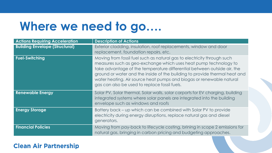## **Where we need to go….**

| <b>Actions Requiring Acceleration</b> | <b>Description of Actions</b>                                                                                                                                                                                                                                                                                                                                                                                                 |
|---------------------------------------|-------------------------------------------------------------------------------------------------------------------------------------------------------------------------------------------------------------------------------------------------------------------------------------------------------------------------------------------------------------------------------------------------------------------------------|
| <b>Building Envelope (Structural)</b> | Exterior cladding, insulation, roof replacements, window and door<br>replacement, foundation repairs, etc.                                                                                                                                                                                                                                                                                                                    |
| <b>Fuel-Switching</b>                 | Moving from fossil fuel such as natural gas to electricity through such<br>measures such as geo-exchange which uses heat pump technology to<br>take advantage of the temperature differential between outside air, the<br>ground or water and the inside of the building to provide thermal heat and<br>water heating. Air source heat pumps and biogas or renewable natural<br>gas can also be used to replace fossil fuels. |
| <b>Renewable Energy</b>               | Solar PV, Solar thermal, Solar walls, solar carports for EV charging, building<br>integrated systems where solar panels are integrated into the building<br>envelope such as windows and roofs                                                                                                                                                                                                                                |
| <b>Energy Storage</b>                 | Battery back – up which can be combined with Solar PV to provide<br>electricity during energy disruptions, replace natural gas and diesel<br>generators.                                                                                                                                                                                                                                                                      |
| <b>Financial Policies</b>             | Moving from pay-back to lifecycle costing, brining in scope 2 emissions for<br>natural gas, bringing in carbon pricing and budgeting approaches.                                                                                                                                                                                                                                                                              |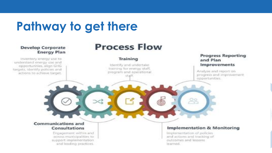## **Pathway to get there**



outcomes and lessons.

learned.

ecross municipalities to support implementation and leading practices.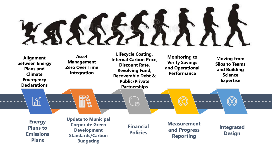# XAXXXXI

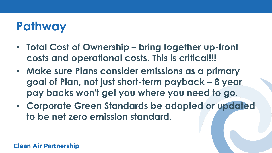## **Pathway**

- **Total Cost of Ownership – bring together up-front costs and operational costs. This is critical!!!**
- **Make sure Plans consider emissions as a primary goal of Plan, not just short-term payback – 8 year pay backs won't get you where you need to go.**
- **Corporate Green Standards be adopted or updated to be net zero emission standard.**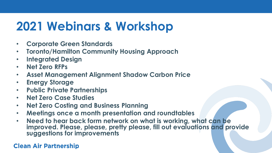# **2021 Webinars & Workshop**

- **Corporate Green Standards**
- **Toronto/Hamilton Community Housing Approach**
- **Integrated Design**
- **Net Zero RFPs**
- **Asset Management Alignment Shadow Carbon Price**
- **Energy Storage**
- **Public Private Partnerships**
- **Net Zero Case Studies**
- **Net Zero Costing and Business Planning**
- **Meetings once a month presentation and roundtables**
- **Need to hear back form network on what is working, what can be improved. Please, please, pretty please, fill out evaluations and provide suggestions for improvements**